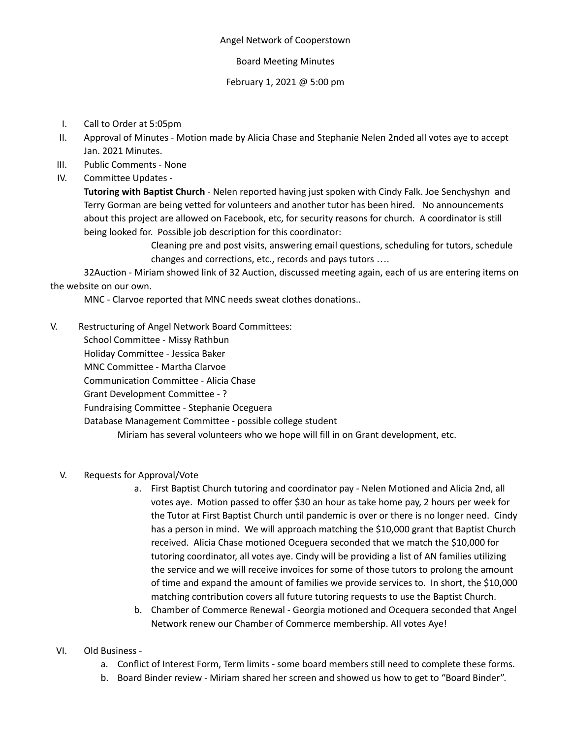#### Angel Network of Cooperstown

### Board Meeting Minutes

### February 1, 2021 @ 5:00 pm

- I. Call to Order at 5:05pm
- II. Approval of Minutes Motion made by Alicia Chase and Stephanie Nelen 2nded all votes aye to accept Jan. 2021 Minutes.
- III. Public Comments None
- IV. Committee Updates -

**Tutoring with Baptist Church** - Nelen reported having just spoken with Cindy Falk. Joe Senchyshyn and Terry Gorman are being vetted for volunteers and another tutor has been hired. No announcements about this project are allowed on Facebook, etc, for security reasons for church. A coordinator is still being looked for. Possible job description for this coordinator:

> Cleaning pre and post visits, answering email questions, scheduling for tutors, schedule changes and corrections, etc., records and pays tutors ….

32Auction - Miriam showed link of 32 Auction, discussed meeting again, each of us are entering items on the website on our own.

MNC - Clarvoe reported that MNC needs sweat clothes donations..

- V. Restructuring of Angel Network Board Committees:
	- School Committee Missy Rathbun

Holiday Committee - Jessica Baker

MNC Committee - Martha Clarvoe

Communication Committee - Alicia Chase

Grant Development Committee - ?

Fundraising Committee - Stephanie Oceguera

Database Management Committee - possible college student

Miriam has several volunteers who we hope will fill in on Grant development, etc.

### V. Requests for Approval/Vote

- a. First Baptist Church tutoring and coordinator pay Nelen Motioned and Alicia 2nd, all votes aye. Motion passed to offer \$30 an hour as take home pay, 2 hours per week for the Tutor at First Baptist Church until pandemic is over or there is no longer need. Cindy has a person in mind. We will approach matching the \$10,000 grant that Baptist Church received. Alicia Chase motioned Oceguera seconded that we match the \$10,000 for tutoring coordinator, all votes aye. Cindy will be providing a list of AN families utilizing the service and we will receive invoices for some of those tutors to prolong the amount of time and expand the amount of families we provide services to. In short, the \$10,000 matching contribution covers all future tutoring requests to use the Baptist Church.
- b. Chamber of Commerce Renewal Georgia motioned and Ocequera seconded that Angel Network renew our Chamber of Commerce membership. All votes Aye!

# VI. Old Business -

- a. Conflict of Interest Form, Term limits some board members still need to complete these forms.
- b. Board Binder review Miriam shared her screen and showed us how to get to "Board Binder".